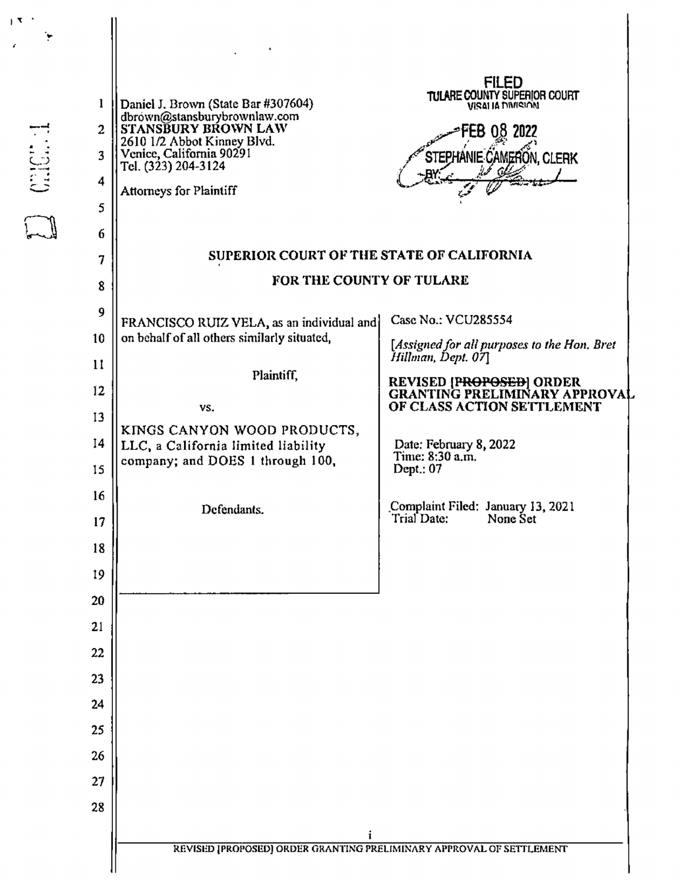|                |                                                                                            | FILED<br>TULARE COUNTY SUPERIOR COURT                                  |  |  |
|----------------|--------------------------------------------------------------------------------------------|------------------------------------------------------------------------|--|--|
| ı              | Daniel J. Brown (State Bar #307604)<br>dbrown@stansburybrownlaw.com<br>STANSBURY BROWN LAW | VISAI IA MUISION                                                       |  |  |
| $\overline{c}$ | 2610 1/2 Abbot Kinney Blvd.                                                                | 0.8 2022<br>EB.                                                        |  |  |
| 3              | Venice, California 90291<br>Tel. (323) 204-3124                                            | STEPHANIE CAMERON, CLERK                                               |  |  |
| 4              | <b>Attorneys for Plaintiff</b>                                                             |                                                                        |  |  |
| 5              |                                                                                            |                                                                        |  |  |
| 6              | SUPERIOR COURT OF THE STATE OF CALIFORNIA                                                  |                                                                        |  |  |
| 7              | FOR THE COUNTY OF TULARE                                                                   |                                                                        |  |  |
| 8              |                                                                                            |                                                                        |  |  |
| 9              | FRANCISCO RUIZ VELA, as an individual and                                                  | Case No.: VCU285554                                                    |  |  |
| 10             | on behalf of all others similarly situated,                                                | [Assigned for all purposes to the Hon. Bret<br>Hillman, Dept. 07]      |  |  |
| 11             | Plaintiff,                                                                                 | REVISED [P <del>ROPOSED</del> ] ORDER<br>GRANTING PRELIMINARY APPROVAL |  |  |
| 12             | VS.                                                                                        | OF CLASS ACTION SETTLEMENT                                             |  |  |
| 13             | KINGS CANYON WOOD PRODUCTS,                                                                |                                                                        |  |  |
| 14             | LLC, a California limited liability<br>company; and DOES 1 through 100,                    | Date: February 8, 2022<br>Time: 8:30 a.m.                              |  |  |
| 15             |                                                                                            | Dept.: 07                                                              |  |  |
| 16             | Defendants.                                                                                | Complaint Filed: January 13, 2021<br>Trial Date:<br>None Set           |  |  |
| 17             |                                                                                            |                                                                        |  |  |
| 18             |                                                                                            |                                                                        |  |  |
| 19             |                                                                                            |                                                                        |  |  |
| 20             |                                                                                            |                                                                        |  |  |
| 21             |                                                                                            |                                                                        |  |  |
| 22             |                                                                                            |                                                                        |  |  |
| 23             |                                                                                            |                                                                        |  |  |
| 24<br>25       |                                                                                            |                                                                        |  |  |
| 26             |                                                                                            |                                                                        |  |  |
| 27             |                                                                                            |                                                                        |  |  |
| 28             |                                                                                            |                                                                        |  |  |
|                |                                                                                            |                                                                        |  |  |
|                | i<br>REVISED [PROPOSED] ORDER GRANTING PRELIMINARY APPROVAL OF SETTLEMENT                  |                                                                        |  |  |
|                |                                                                                            |                                                                        |  |  |

 $\frac{\left\| \mathbf{x} \right\|^{2}}{\left\| \mathbf{x} \right\|^{2}} \sum_{\mathbf{x} \in \mathcal{X}} \mathbf{y}$ 

E carea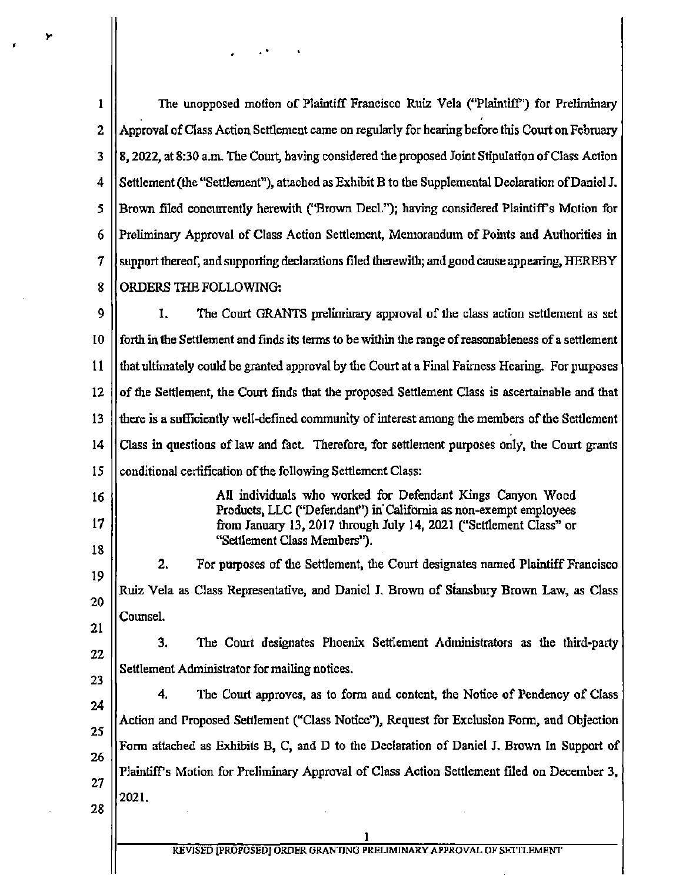| 1        | The unopposed motion of Plaintiff Francisco Ruiz Vela ("Plaintiff") for Preliminary                                                                                                                   |  |
|----------|-------------------------------------------------------------------------------------------------------------------------------------------------------------------------------------------------------|--|
| 2        | Approval of Class Action Settlement came on regularly for hearing before this Court on February                                                                                                       |  |
| 3        | 8, 2022, at 8:30 a.m. The Court, having considered the proposed Joint Stipulation of Class Action                                                                                                     |  |
| 4        | Settlement (the "Settlement"), attached as Exhibit B to the Supplemental Declaration of Daniel J.                                                                                                     |  |
| 5        | Brown filed concurrently herewith ("Brown Decl."); having considered Plaintiff's Motion for                                                                                                           |  |
| 6        | Preliminary Approval of Class Action Settlement, Memorandum of Points and Authorities in                                                                                                              |  |
| 7        | support thereof, and supporting declarations filed therewith; and good cause appearing, HEREBY                                                                                                        |  |
| 8        | ORDERS THE FOLLOWING:                                                                                                                                                                                 |  |
| 9        | 1.<br>The Court GRANTS preliminary approval of the class action settlement as set                                                                                                                     |  |
| 10       | forth in the Settlement and finds its terms to be within the range of reasonableness of a settlement                                                                                                  |  |
| 11       | that ultimately could be granted approval by the Court at a Final Fairness Hearing. For purposes                                                                                                      |  |
| 12       | of the Settlement, the Court finds that the proposed Settlement Class is ascertainable and that                                                                                                       |  |
| 13       | there is a sufficiently well-defined community of interest among the members of the Settlement                                                                                                        |  |
| 14       | Class in questions of law and fact. Therefore, for settlement purposes only, the Court grants                                                                                                         |  |
| 15       | conditional certification of the following Settlement Class:                                                                                                                                          |  |
| 16<br>17 | All individuals who worked for Defendant Kings Canyon Wood<br>Products, LLC ("Defendant") in California as non-exempt employees<br>from January 13, 2017 through July 14, 2021 ("Settlement Class" or |  |
| 18       | "Settlement Class Members").                                                                                                                                                                          |  |
| 19       | 2.<br>For purposes of the Settlement, the Court designates named Plaintiff Francisco                                                                                                                  |  |
| 20       | Ruiz Vela as Class Representative, and Daniel J. Brown of Stansbury Brown Law, as Class                                                                                                               |  |
| 21       | Counsel.                                                                                                                                                                                              |  |
| 22       | 3.<br>The Court designates Phoenix Settlement Administrators as the third-party                                                                                                                       |  |
| 23       | Settlement Administrator for mailing notices.                                                                                                                                                         |  |
| 24       | The Court approves, as to form and content, the Notice of Pendency of Class<br>4.                                                                                                                     |  |
| 25       | Action and Proposed Settlement ("Class Notice"), Request for Exclusion Form, and Objection                                                                                                            |  |
| 26       | Form attached as Exhibits B, C, and D to the Declaration of Daniel J. Brown In Support of                                                                                                             |  |
| 27       | Plaintiff's Motion for Preliminary Approval of Class Action Settlement filed on December 3,                                                                                                           |  |
| 28       | 2021.                                                                                                                                                                                                 |  |
|          |                                                                                                                                                                                                       |  |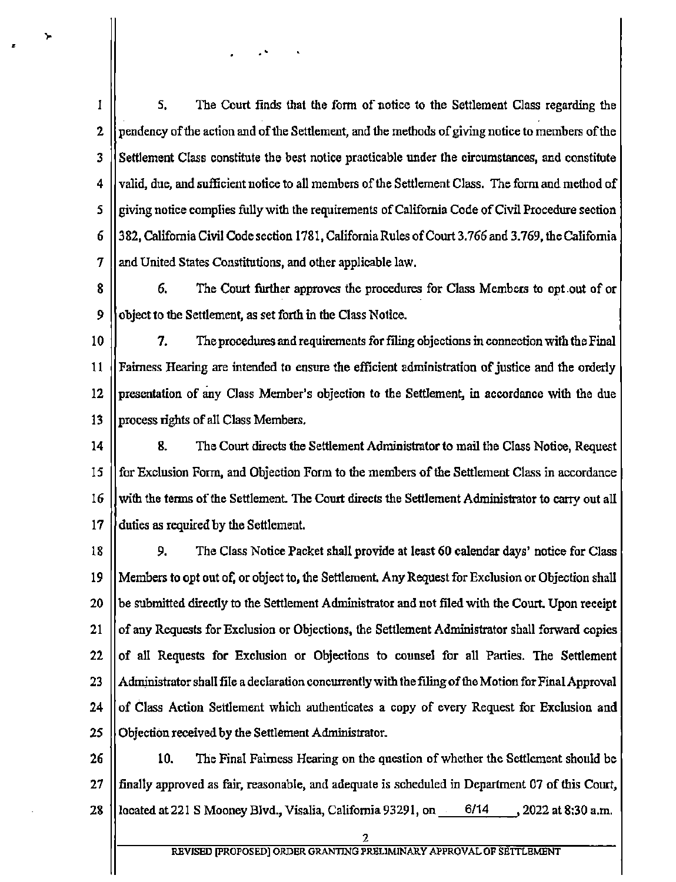1 5. The Court finds that the form of notice to the Settlement Class regarding the  $\overline{2}$ pendency of the action and of the Settlement, and the methods of giving notice to members of the 2<br>3<br>4<br>5<br>6<br>7<br>8<br>9 3 Settlement Class constitute the best notice practicable under the circumstances, and constitute 4 valid, due, and sufficient notice to all members of the Settlement Class. The form and method of 5 giving notice complies fully with the requirements of California Code of Civil Procedure section 382, California Civil Code section 1781, California Rules of Court 3.766 and 3.769, the California 6 7 and United States Constitutions, and other applicable law.

У

6. The Court further approves the procedures for Class Members to opt.out of or 8 9 object to the Settlement, as set forth in the Class Notice.

10 7. The procedures and requirements for filing objections in connection with the Final 11 Fairness Hearing are intended to ensure the efficient administration of justice and the orderly 12 presentation of any Class Member's objection to the Settlement, in accordance with the due  $13$ process rights of all Class Members,

14 8. The Court directs the Settlement Administrator to mail the Class Notice, Request 15 for Exclusion Form, and Objection Form to the members of the Settlement Class in accordance 16 with the terms of the Settlement. The Court directs the Settlement Administrator to carry out all 17 duties as required by the Settlement.

10 11 12 13 14 15 16 17 18 19 20 21 22 23 24 25 26 27 28 18 9. The Class Notice Packet shall provide at least 60 calendar days' notice for Class 19 Members to opt out of, or object to, the Settlement. Any Request for Exclusion or Objection shall 20 be submitted directly to the Settlement Administrator and not filed with the Court. Upon receipt 21 of any Requests for Exclusion or Objections, the Settlement Administrator shall forward copies 22 of all Requests for Exclusion or Objections to counsel for all Parties. The Settlement 23 Administrator shall file a declaration concurrently with the filing of the Motion for Final Approval 24 of Class Action Settlement which authenticates a copy of every Request for Exclusion and 25 Objection received by the Settlement Administrator.

26 10. The Final Fairness Hearing on the question of whether the Settlement should be 27 finally approved as fair, reasonable, and adequate is scheduled in Department 07 of this Court, 28 located at 221 S Mooney Blvd., Visalia, California 93291, on. 6/14, 2022 at 8:30 a.m.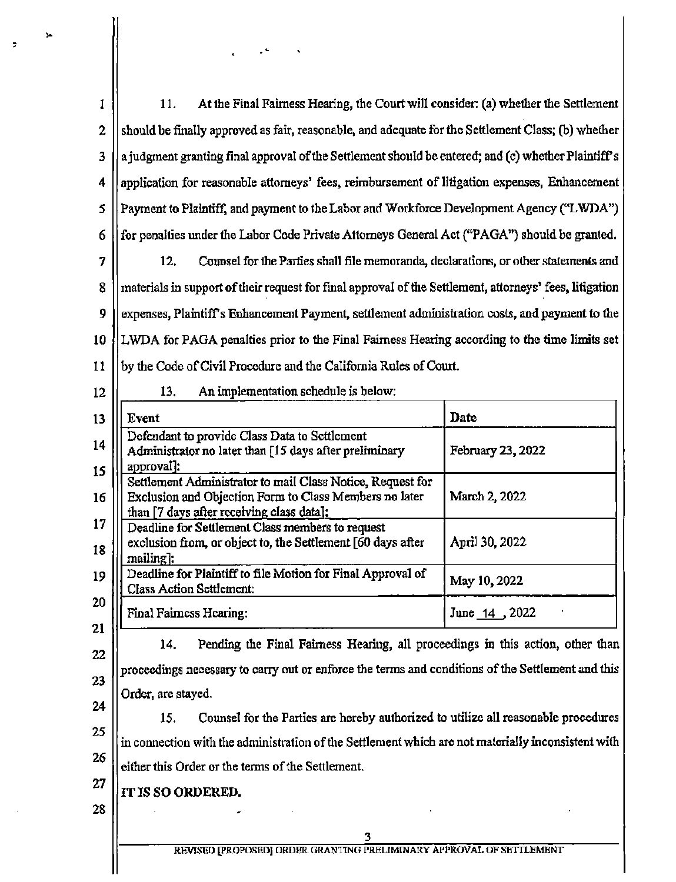| 1              | 11.<br>At the Final Fairness Hearing, the Court will consider: (a) whether the Settlement                                                                         |                   |  |  |
|----------------|-------------------------------------------------------------------------------------------------------------------------------------------------------------------|-------------------|--|--|
| $\overline{a}$ | should be finally approved as fair, reasonable, and adequate for the Settlement Class; (b) whether                                                                |                   |  |  |
| 3              | a judgment granting final approval of the Settlement should be entered; and (c) whether Plaintiff's                                                               |                   |  |  |
| 4              | application for reasonable attorneys' fees, reimbursement of litigation expenses, Enhancement                                                                     |                   |  |  |
| 5              | Payment to Plaintiff, and payment to the Labor and Workforce Development Agency ("LWDA")                                                                          |                   |  |  |
| 6              | for penalties under the Labor Code Private Attorneys General Act ("PAGA") should be granted.                                                                      |                   |  |  |
| 7<br>8         | 12.<br>Counsel for the Parties shall file memoranda, declarations, or other statements and                                                                        |                   |  |  |
| 9              | materials in support of their request for final approval of the Settlement, attorneys' fees, litigation                                                           |                   |  |  |
| 10             | expenses, Plaintiff's Enhancement Payment, settlement administration costs, and payment to the                                                                    |                   |  |  |
| 11             | LWDA for PAGA penalties prior to the Final Fairness Hearing according to the time limits set                                                                      |                   |  |  |
| 12             | by the Code of Civil Procedure and the California Rules of Court.<br>13.<br>An implementation schedule is below:                                                  |                   |  |  |
| 13             | Event                                                                                                                                                             | Date              |  |  |
| 14             | Defendant to provide Class Data to Settlement                                                                                                                     |                   |  |  |
| 15             | Administrator no later than [15 days after preliminary<br>approval]:                                                                                              | February 23, 2022 |  |  |
| 16             | Settlement Administrator to mail Class Notice, Request for<br>Exclusion and Objection Form to Class Members no later<br>than [7 days after receiving class data]: | March 2, 2022     |  |  |
| 17<br>18       | Deadline for Settlement Class members to request<br>exclusion from, or object to, the Settlement [60 days after<br>mailing]:                                      | April 30, 2022    |  |  |
| 19             | Deadline for Plaintiff to file Motion for Final Approval of<br><b>Class Action Settlement:</b>                                                                    | May 10, 2022      |  |  |
| 20             | <b>Final Fairness Hearing:</b>                                                                                                                                    | June 14, 2022     |  |  |
| 21             | Pending the Final Fairness Hearing, all proceedings in this action, other than<br>14.                                                                             |                   |  |  |
| 22             | proceedings necessary to carry out or enforce the terms and conditions of the Settlement and this                                                                 |                   |  |  |
| 23             | Order, are stayed.                                                                                                                                                |                   |  |  |
| 24<br>25       | Counsel for the Parties are hereby authorized to utilize all reasonable procedures<br>15.                                                                         |                   |  |  |
| 26             | in connection with the administration of the Settlement which are not materially inconsistent with                                                                |                   |  |  |
| 27             | either this Order or the terms of the Settlement.                                                                                                                 |                   |  |  |
| 28             | IT IS SO ORDERED.                                                                                                                                                 |                   |  |  |
|                | 3                                                                                                                                                                 |                   |  |  |
|                | REVISED PROPOSEDJ ORDER GRANTING PRELIMINARY APPROVAL OF SETTLEMENT                                                                                               |                   |  |  |

 $\hat{\mathcal{A}}$